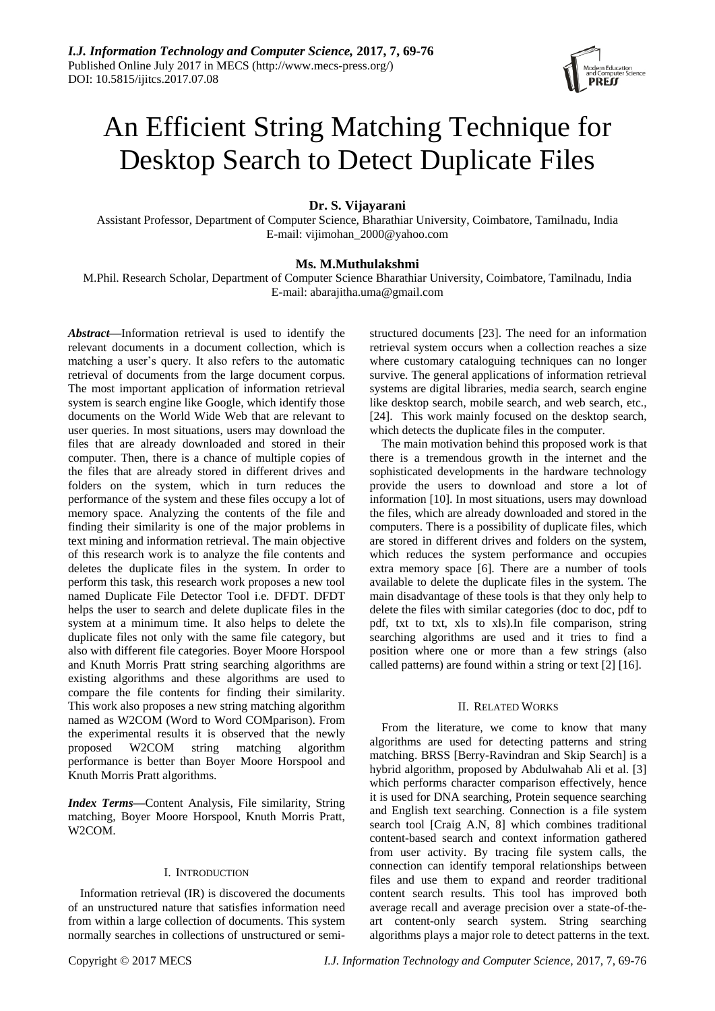

# An Efficient String Matching Technique for Desktop Search to Detect Duplicate Files

# **Dr. S. Vijayarani**

Assistant Professor, Department of Computer Science, Bharathiar University, Coimbatore, Tamilnadu, India E-mail: vijimohan\_2000@yahoo.com

# **Ms. M.Muthulakshmi**

M.Phil. Research Scholar, Department of Computer Science Bharathiar University, Coimbatore, Tamilnadu, India E-mail: abarajitha.uma@gmail.com

*Abstract***—**Information retrieval is used to identify the relevant documents in a document collection, which is matching a user's query. It also refers to the automatic retrieval of documents from the large document corpus. The most important application of information retrieval system is search engine like Google, which identify those documents on the World Wide Web that are relevant to user queries. In most situations, users may download the files that are already downloaded and stored in their computer. Then, there is a chance of multiple copies of the files that are already stored in different drives and folders on the system, which in turn reduces the performance of the system and these files occupy a lot of memory space. Analyzing the contents of the file and finding their similarity is one of the major problems in text mining and information retrieval. The main objective of this research work is to analyze the file contents and deletes the duplicate files in the system. In order to perform this task, this research work proposes a new tool named Duplicate File Detector Tool i.e. DFDT. DFDT helps the user to search and delete duplicate files in the system at a minimum time. It also helps to delete the duplicate files not only with the same file category, but also with different file categories. Boyer Moore Horspool and Knuth Morris Pratt string searching algorithms are existing algorithms and these algorithms are used to compare the file contents for finding their similarity. This work also proposes a new string matching algorithm named as W2COM (Word to Word COMparison). From the experimental results it is observed that the newly proposed W2COM string matching algorithm performance is better than Boyer Moore Horspool and Knuth Morris Pratt algorithms.

*Index Terms***—**Content Analysis, File similarity, String matching, Boyer Moore Horspool, Knuth Morris Pratt, W2COM.

#### I. INTRODUCTION

Information retrieval (IR) is discovered the documents of an unstructured nature that satisfies information need from within a large collection of documents. This system normally searches in collections of unstructured or semistructured documents [23]. The need for an information retrieval system occurs when a collection reaches a size where customary cataloguing techniques can no longer survive. The general applications of information retrieval systems are digital libraries, media search, search engine like desktop search, mobile search, and web search, etc., [24]. This work mainly focused on the desktop search, which detects the duplicate files in the computer.

The main motivation behind this proposed work is that there is a tremendous growth in the internet and the sophisticated developments in the hardware technology provide the users to download and store a lot of information [10]. In most situations, users may download the files, which are already downloaded and stored in the computers. There is a possibility of duplicate files, which are stored in different drives and folders on the system, which reduces the system performance and occupies extra memory space [6]. There are a number of tools available to delete the duplicate files in the system. The main disadvantage of these tools is that they only help to delete the files with similar categories (doc to doc, pdf to pdf, txt to txt, xls to xls).In file comparison, string searching algorithms are used and it tries to find a position where one or more than a few strings (also called patterns) are found within a string or text [2] [16].

#### II. RELATED WORKS

From the literature, we come to know that many algorithms are used for detecting patterns and string matching. BRSS [Berry-Ravindran and Skip Search] is a hybrid algorithm, proposed by Abdulwahab Ali et al. [3] which performs character comparison effectively, hence it is used for DNA searching, Protein sequence searching and English text searching. Connection is a file system search tool [Craig A.N, 8] which combines traditional content-based search and context information gathered from user activity. By tracing file system calls, the connection can identify temporal relationships between files and use them to expand and reorder traditional content search results. This tool has improved both average recall and average precision over a state-of-theart content-only search system. String searching algorithms plays a major role to detect patterns in the text.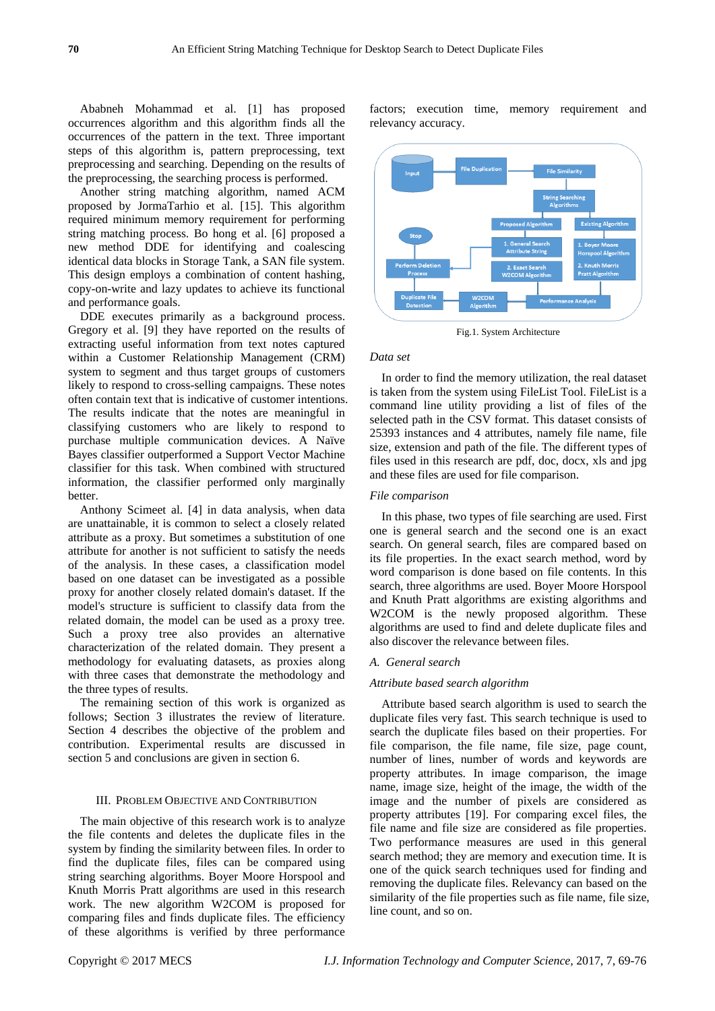Ababneh Mohammad et al. [1] has proposed occurrences algorithm and this algorithm finds all the occurrences of the pattern in the text. Three important steps of this algorithm is, pattern preprocessing, text preprocessing and searching. Depending on the results of the preprocessing, the searching process is performed.

Another string matching algorithm, named ACM proposed by JormaTarhio et al. [15]. This algorithm required minimum memory requirement for performing string matching process. Bo hong et al. [6] proposed a new method DDE for identifying and coalescing identical data blocks in Storage Tank, a SAN file system. This design employs a combination of content hashing, copy-on-write and lazy updates to achieve its functional and performance goals.

DDE executes primarily as a background process. Gregory et al. [9] they have reported on the results of extracting useful information from text notes captured within a Customer Relationship Management (CRM) system to segment and thus target groups of customers likely to respond to cross-selling campaigns. These notes often contain text that is indicative of customer intentions. The results indicate that the notes are meaningful in classifying customers who are likely to respond to purchase multiple communication devices. A Naïve Bayes classifier outperformed a Support Vector Machine classifier for this task. When combined with structured information, the classifier performed only marginally better.

Anthony Scimeet al. [4] in data analysis, when data are unattainable, it is common to select a closely related attribute as a proxy. But sometimes a substitution of one attribute for another is not sufficient to satisfy the needs of the analysis. In these cases, a classification model based on one dataset can be investigated as a possible proxy for another closely related domain's dataset. If the model's structure is sufficient to classify data from the related domain, the model can be used as a proxy tree. Such a proxy tree also provides an alternative characterization of the related domain. They present a methodology for evaluating datasets, as proxies along with three cases that demonstrate the methodology and the three types of results.

The remaining section of this work is organized as follows; Section 3 illustrates the review of literature. Section 4 describes the objective of the problem and contribution. Experimental results are discussed in section 5 and conclusions are given in section 6.

## III. PROBLEM OBJECTIVE AND CONTRIBUTION

The main objective of this research work is to analyze the file contents and deletes the duplicate files in the system by finding the similarity between files. In order to find the duplicate files, files can be compared using string searching algorithms. Boyer Moore Horspool and Knuth Morris Pratt algorithms are used in this research work. The new algorithm W2COM is proposed for comparing files and finds duplicate files. The efficiency of these algorithms is verified by three performance

factors; execution time, memory requirement and relevancy accuracy.



Fig.1. System Architecture

#### *Data set*

In order to find the memory utilization, the real dataset is taken from the system using FileList Tool. FileList is a command line utility providing a list of files of the selected path in the CSV format. This dataset consists of 25393 instances and 4 attributes, namely file name, file size, extension and path of the file. The different types of files used in this research are pdf, doc, docx, xls and jpg and these files are used for file comparison.

## *File comparison*

In this phase, two types of file searching are used. First one is general search and the second one is an exact search. On general search, files are compared based on its file properties. In the exact search method, word by word comparison is done based on file contents. In this search, three algorithms are used. Boyer Moore Horspool and Knuth Pratt algorithms are existing algorithms and W2COM is the newly proposed algorithm. These algorithms are used to find and delete duplicate files and also discover the relevance between files.

## *A. General search*

#### *Attribute based search algorithm*

Attribute based search algorithm is used to search the duplicate files very fast. This search technique is used to search the duplicate files based on their properties. For file comparison, the file name, file size, page count, number of lines, number of words and keywords are property attributes. In image comparison, the image name, image size, height of the image, the width of the image and the number of pixels are considered as property attributes [19]. For comparing excel files, the file name and file size are considered as file properties. Two performance measures are used in this general search method; they are memory and execution time. It is one of the quick search techniques used for finding and removing the duplicate files. Relevancy can based on the similarity of the file properties such as file name, file size, line count, and so on.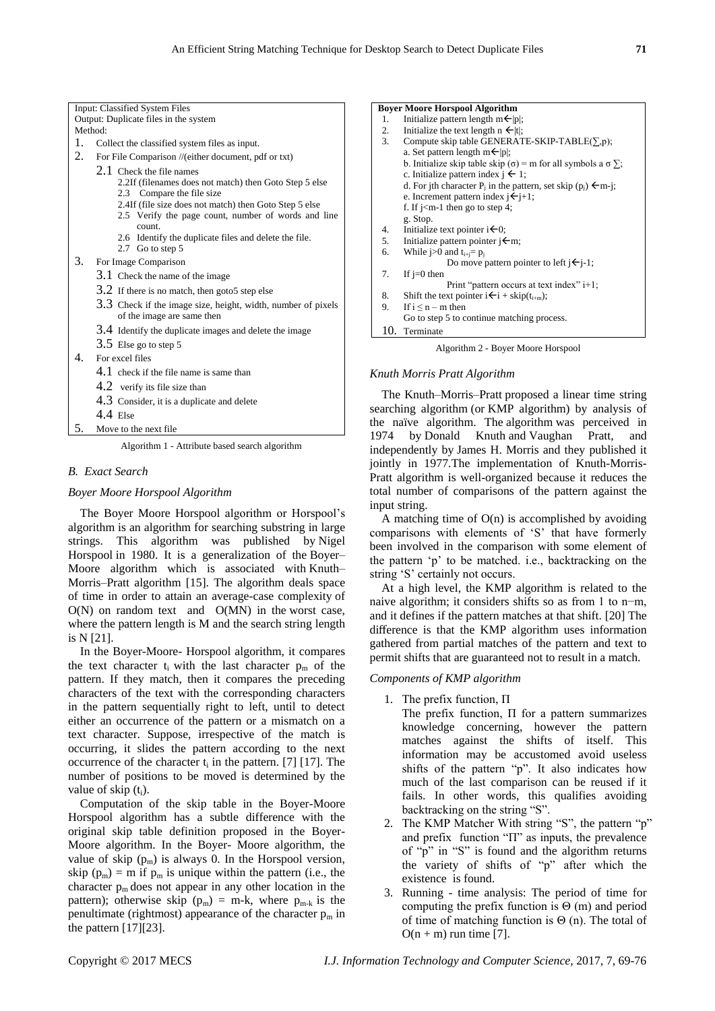|    | Input: Classified System Files                                                                                                                                                                                                                                                                      |           |
|----|-----------------------------------------------------------------------------------------------------------------------------------------------------------------------------------------------------------------------------------------------------------------------------------------------------|-----------|
|    | Output: Duplicate files in the system                                                                                                                                                                                                                                                               |           |
|    | Method:                                                                                                                                                                                                                                                                                             |           |
| 1. | Collect the classified system files as input.                                                                                                                                                                                                                                                       |           |
| 2. | For File Comparison //(either document, pdf or txt)                                                                                                                                                                                                                                                 |           |
|    | 2.1 Check the file names<br>2.2If (filenames does not match) then Goto Step 5 else<br>2.3 Compare the file size<br>2.4If (file size does not match) then Goto Step 5 else<br>2.5 Verify the page count, number of words and line<br>count.<br>2.6 Identify the duplicate files and delete the file. |           |
| 3. | 2.7 Go to step 5                                                                                                                                                                                                                                                                                    |           |
|    | For Image Comparison                                                                                                                                                                                                                                                                                |           |
|    | 3.1 Check the name of the image                                                                                                                                                                                                                                                                     |           |
|    | 3.2 If there is no match, then goto5 step else                                                                                                                                                                                                                                                      |           |
|    | 3.3 Check if the image size, height, width, number of pixels<br>of the image are same then                                                                                                                                                                                                          |           |
|    | 3.4 Identify the duplicate images and delete the image                                                                                                                                                                                                                                              |           |
|    | $3.5$ Else go to step 5                                                                                                                                                                                                                                                                             |           |
| 4. | For excel files                                                                                                                                                                                                                                                                                     |           |
|    | 4.1 check if the file name is same than                                                                                                                                                                                                                                                             | $K_1$     |
|    | 4.2 verify its file size than                                                                                                                                                                                                                                                                       |           |
|    | 4.3 Consider, it is a duplicate and delete                                                                                                                                                                                                                                                          |           |
|    | $4.4$ Fise                                                                                                                                                                                                                                                                                          | se        |
| 5. | Move to the next file.                                                                                                                                                                                                                                                                              | th        |
|    | Algorithm 1 - Attribute based search algorithm                                                                                                                                                                                                                                                      | 19<br>in. |

#### *B. Exact Search*

## *Boyer Moore Horspool Algorithm*

The Boyer Moore Horspool algorithm or Horspool"s algorithm is an algorithm for searching substring in large strings. This algorithm was published by [Nigel](http://en.wikipedia.org/wiki/Nigel_Horspool)  [Horspool](http://en.wikipedia.org/wiki/Nigel_Horspool) in 1980. It is a generalization of the [Boyer–](http://en.wikipedia.org/wiki/Boyer%E2%80%93Moore_string_search_algorithm) [Moore](http://en.wikipedia.org/wiki/Boyer%E2%80%93Moore_string_search_algorithm) algorithm which is associated with [Knuth–](http://en.wikipedia.org/wiki/Knuth%E2%80%93Morris%E2%80%93Pratt_algorithm) [Morris–Pratt algorithm](http://en.wikipedia.org/wiki/Knuth%E2%80%93Morris%E2%80%93Pratt_algorithm) [15]. The algorithm deals space of time in order to attain an [average-case complexity](http://en.wikipedia.org/wiki/Average-case_complexity) of O(N) on random text and O(MN) in the [worst case,](http://en.wikipedia.org/wiki/Worst_case) where the pattern length is M and the search string length is N [21].

In the Boyer-Moore- Horspool algorithm, it compares the text character  $t_i$  with the last character  $p_m$  of the pattern. If they match, then it compares the preceding characters of the text with the corresponding characters in the pattern sequentially right to left, until to detect either an occurrence of the pattern or a mismatch on a text character. Suppose, irrespective of the match is occurring, it slides the pattern according to the next occurrence of the character  $t_i$  in the pattern. [7] [17]. The number of positions to be moved is determined by the value of skip  $(t_i)$ .

Computation of the skip table in the Boyer-Moore Horspool algorithm has a subtle difference with the original skip table definition proposed in the Boyer-Moore algorithm. In the Boyer- Moore algorithm, the value of skip  $(p_m)$  is always 0. In the Horspool version, skip ( $p_m$ ) = m if  $p_m$  is unique within the pattern (i.e., the character  $p_m$  does not appear in any other location in the pattern); otherwise skip ( $p_m$ ) = m-k, where  $p_{m-k}$  is the penultimate (rightmost) appearance of the character  $p_m$  in the pattern [17][23].

#### **Boyer Moore Horspool Algorithm** 1. Initialize pattern length  $m \leftarrow |p|$ ; 2. Initialize the text length  $n \in |t|$ ; 3. Compute skip table GENERATE-SKIP-TABLE( $\Sigma$ ,p); a. Set pattern length  $m$   $\leftarrow$  |p|; b. Initialize skip table skip ( $\sigma$ ) = m for all symbols a  $\sigma \sum$ ; c. Initialize pattern index  $j \leftarrow 1$ ; d. For jth character  $P_i$  in the pattern, set skip (p<sub>i</sub>)  $\leftarrow$ m-j; e. Increment pattern index  $j \leftarrow j+1$ ; f. If  $j$  <m-1 then go to step 4; g. Stop. 4. Initialize text pointer  $i \in 0$ ; 5. Initialize pattern pointer  $j \leftarrow m$ ; 6. While  $j>0$  and  $t_{i+j}=p_j$ Do move pattern pointer to left  $j\leftarrow j-1$ ; 7. If j=0 then Print "pattern occurs at text index" i+1; 8. Shift the text pointer  $i \leftarrow i + skip(t_{i+m});$ 9. If  $i \le n - m$  then Go to step 5 to continue matching process. 10. Terminate

Algorithm 2 - Boyer Moore Horspool

#### *Knuth Morris Pratt Algorithm*

The Knuth–Morris–Pratt proposed a linear time string arching algorithm (or KMP algorithm) by analysis of the naïve algorithm. The algorithm was perceived in 1974 by Donald Knuth and Vaughan Pratt, and independently by James H. Morris and they published it jointly in 1977.The implementation of Knuth-Morris-Pratt algorithm is well-organized because it reduces the total number of comparisons of the pattern against the input string.

A matching time of  $O(n)$  is accomplished by avoiding comparisons with elements of "S" that have formerly been involved in the comparison with some element of the pattern "p" to be matched. i.e., backtracking on the string 'S' certainly not occurs.

At a high level, the KMP algorithm is related to the naive algorithm; it considers shifts so as from 1 to n−m, and it defines if the pattern matches at that shift. [20] The difference is that the KMP algorithm uses information gathered from partial matches of the pattern and text to permit shifts that are guaranteed not to result in a match.

## *Components of KMP algorithm*

- 1. The prefix function, Π
- The prefix function, Π for a pattern summarizes knowledge concerning, however the pattern matches against the shifts of itself. This information may be accustomed avoid useless shifts of the pattern "p". It also indicates how much of the last comparison can be reused if it fails. In other words, this qualifies avoiding backtracking on the string "S".
- 2. The KMP Matcher With string "S", the pattern "p" and prefix function "Π" as inputs, the prevalence of "p" in "S" is found and the algorithm returns the variety of shifts of "p" after which the existence is found.
- 3. Running time analysis: The period of time for computing the prefix function is  $\Theta$  (m) and period of time of matching function is  $\Theta$  (n). The total of  $O(n + m)$  run time [7].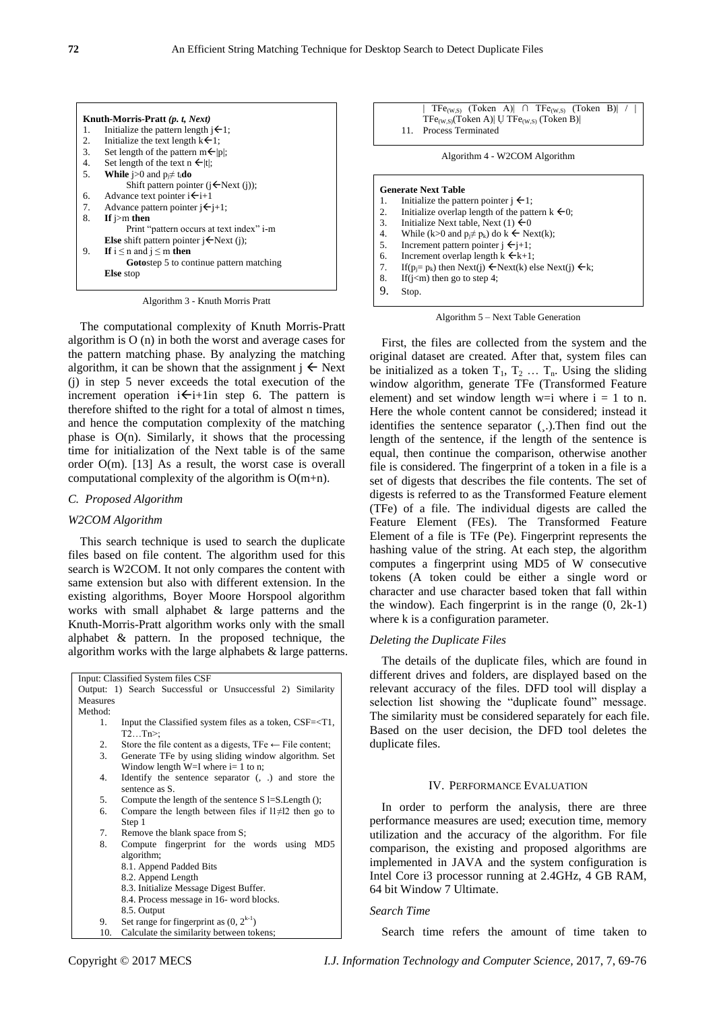|    | Knuth-Morris-Pratt $(p. t, Next)$                          |
|----|------------------------------------------------------------|
| 1. | Initialize the pattern length $\mathfrak{j}\leftarrow 1$ ; |
| 2. | Initialize the text length $k \in \{1\}$ ;                 |
| 3. | Set length of the pattern $m \leftarrow  p $ ;             |
| 4. | Set length of the text $n \in  t $ ;                       |
| 5. | <b>While</b> j>0 and $p_i \neq t_i$ <b>do</b>              |
|    | Shift pattern pointer ( $j \in$ Next (j));                 |
| 6. | Advance text pointer $i \leftarrow i+1$                    |
| 7. | Advance pattern pointer $i \leftarrow i+1$ ;               |
| 8. | If $i>m$ then                                              |
|    | Print "pattern occurs at text index" i-m                   |
|    | Else shift pattern pointer $i \in$ Next (j);               |
| 9. | If $i \leq n$ and $j \leq m$ then                          |
|    | Gotostep 5 to continue pattern matching                    |
|    | <b>Else</b> stop                                           |
|    |                                                            |

Algorithm 3 - Knuth Morris Pratt

The computational complexity of Knuth Morris-Pratt algorithm is O (n) in both the worst and average cases for the pattern matching phase. By analyzing the matching algorithm, it can be shown that the assignment  $j \leftarrow$  Next (j) in step 5 never exceeds the total execution of the increment operation  $i \leftarrow i+1$ in step 6. The pattern is therefore shifted to the right for a total of almost n times, and hence the computation complexity of the matching phase is O(n). Similarly, it shows that the processing time for initialization of the Next table is of the same order O(m). [13] As a result, the worst case is overall computational complexity of the algorithm is O(m+n).

## *C. Proposed Algorithm*

# *W2COM Algorithm*

This search technique is used to search the duplicate files based on file content. The algorithm used for this search is W2COM. It not only compares the content with same extension but also with different extension. In the existing algorithms, Boyer Moore Horspool algorithm works with small alphabet & large patterns and the Knuth-Morris-Pratt algorithm works only with the small alphabet & pattern. In the proposed technique, the algorithm works with the large alphabets & large patterns.

Input: Classified System files CSF Output: 1) Search Successful or Unsuccessful 2) Similarity **Measures** Method: 1. Input the Classified system files as a token, CSF=<T1,  $T2...Tn$ 2. Store the file content as a digests, TFe  $\leftarrow$  File content; 3. Generate TFe by using sliding window algorithm. Set Window length  $W=I$  where  $i=1$  to n; 4. Identify the sentence separator (, .) and store the sentence as S. 5. Compute the length of the sentence S l=S.Length (); 6. Compare the length between files if  $11\neq 12$  then go to Step<sub>1</sub> 7. Remove the blank space from S; 8. Compute fingerprint for the words using MD5 algorithm; 8.1. Append Padded Bits 8.2. Append Length 8.3. Initialize Message Digest Buffer. 8.4. Process message in 16- word blocks. 8.5. Output 9. Set range for fingerprint as  $(0, 2^{k-1})$ 10. Calculate the similarity between tokens;



Algorithm 5 – Next Table Generation

First, the files are collected from the system and the original dataset are created. After that, system files can be initialized as a token  $T_1, T_2, \ldots, T_n$ . Using the sliding window algorithm, generate TFe (Transformed Feature element) and set window length w=i where  $i = 1$  to n. Here the whole content cannot be considered; instead it identifies the sentence separator  $\binom{1}{s}$ . Then find out the length of the sentence, if the length of the sentence is equal, then continue the comparison, otherwise another file is considered. The fingerprint of a token in a file is a set of digests that describes the file contents. The set of digests is referred to as the Transformed Feature element (TFe) of a file. The individual digests are called the Feature Element (FEs). The Transformed Feature Element of a file is TFe (Pe). Fingerprint represents the hashing value of the string. At each step, the algorithm computes a fingerprint using MD5 of W consecutive tokens (A token could be either a single word or character and use character based token that fall within the window). Each fingerprint is in the range (0, 2k-1) where k is a configuration parameter.

#### *Deleting the Duplicate Files*

The details of the duplicate files, which are found in different drives and folders, are displayed based on the relevant accuracy of the files. DFD tool will display a selection list showing the "duplicate found" message. The similarity must be considered separately for each file. Based on the user decision, the DFD tool deletes the duplicate files.

#### IV. PERFORMANCE EVALUATION

In order to perform the analysis, there are three performance measures are used; execution time, memory utilization and the accuracy of the algorithm. For file comparison, the existing and proposed algorithms are implemented in JAVA and the system configuration is Intel Core i3 processor running at 2.4GHz, 4 GB RAM, 64 bit Window 7 Ultimate.

## *Search Time*

Search time refers the amount of time taken to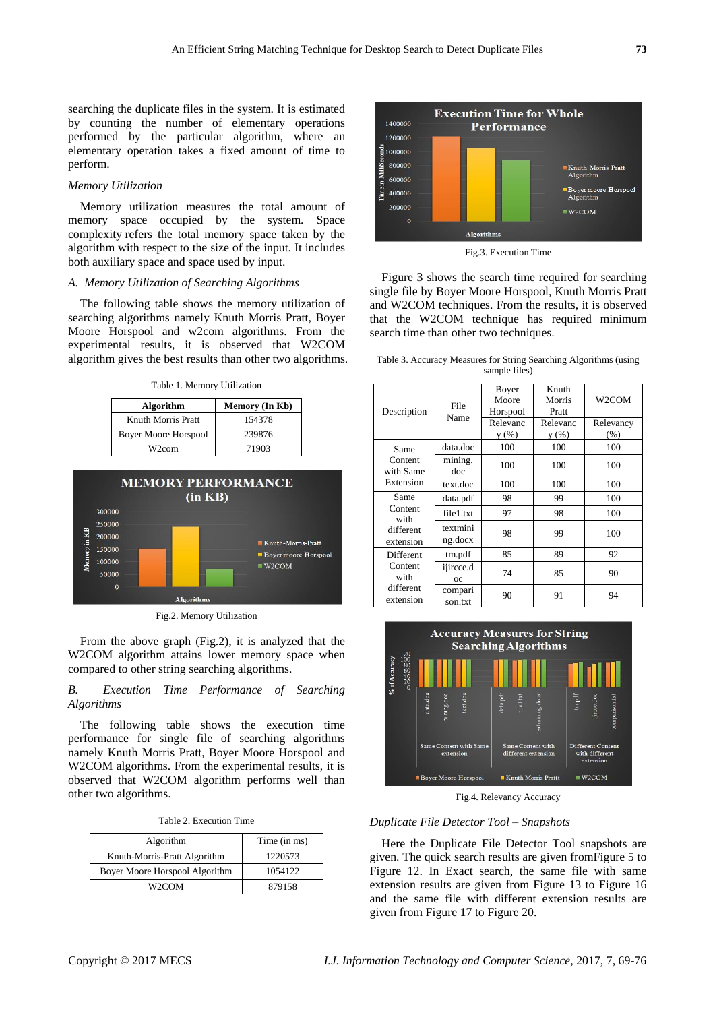searching the duplicate files in the system. It is estimated by counting the number of elementary operations performed by the particular algorithm, where an elementary operation takes a fixed amount of time to perform.

## *Memory Utilization*

Memory utilization measures the total amount of memory space occupied by the system. Space complexity refers the total memory space taken by the algorithm with respect to the size of the input. It includes both auxiliary space and space used by input.

## *A. Memory Utilization of Searching Algorithms*

The following table shows the memory utilization of searching algorithms namely Knuth Morris Pratt, Boyer Moore Horspool and w2com algorithms. From the experimental results, it is observed that W2COM algorithm gives the best results than other two algorithms.

Table 1. Memory Utilization

| <b>Algorithm</b>            | Memory (In Kb) |
|-----------------------------|----------------|
| Knuth Morris Pratt          | 154378         |
| <b>Boyer Moore Horspool</b> | 239876         |
| W2com                       | 71903          |



Fig.2. Memory Utilization

From the above graph (Fig.2), it is analyzed that the W2COM algorithm attains lower memory space when compared to other string searching algorithms.

## *B. Execution Time Performance of Searching Algorithms*

The following table shows the execution time performance for single file of searching algorithms namely Knuth Morris Pratt, Boyer Moore Horspool and W2COM algorithms. From the experimental results, it is observed that W2COM algorithm performs well than other two algorithms.

| Table 2. Execution Time |
|-------------------------|
|                         |

| Algorithm                      | Time (in ms) |
|--------------------------------|--------------|
| Knuth-Morris-Pratt Algorithm   | 1220573      |
| Boyer Moore Horspool Algorithm | 1054122      |
| W2COM                          | 879158       |



Fig.3. Execution Time

Figure 3 shows the search time required for searching single file by Boyer Moore Horspool, Knuth Morris Pratt and W2COM techniques. From the results, it is observed that the W2COM technique has required minimum search time than other two techniques.

Table 3. Accuracy Measures for String Searching Algorithms (using sample files)

| Description            | File                     | Boyer<br>Moore<br>Horspool | Knuth<br>Morris<br>Pratt | W2COM             |
|------------------------|--------------------------|----------------------------|--------------------------|-------------------|
|                        | Name                     | Relevanc<br>y(%)           | Relevanc<br>y (%)        | Relevancy<br>(% ) |
| Same                   | data.doc                 | 100                        | 100                      | 100               |
| Content<br>with Same   | mining.<br>doc           | 100                        | 100                      | 100               |
| Extension              | text.doc                 | 100                        | 100                      | 100               |
| Same                   | data.pdf                 | 98                         | 99                       | 100               |
| Content<br>with        | file1.txt                | 97                         | 98                       | 100               |
| different<br>extension | textmini<br>ng.docx      | 98                         | 99                       | 100               |
| Different              | tm.pdf                   | 85                         | 89                       | 92                |
| Content<br>with        | ijircce.d<br>$_{\alpha}$ | 74                         | 85                       | 90                |
| different<br>extension | compari<br>son.txt       | 90                         | 91                       | 94                |



Fig.4. Relevancy Accuracy

# *Duplicate File Detector Tool – Snapshots*

Here the Duplicate File Detector Tool snapshots are given. The quick search results are given fromFigure 5 to Figure 12. In Exact search, the same file with same extension results are given from Figure 13 to Figure 16 and the same file with different extension results are given from Figure 17 to Figure 20.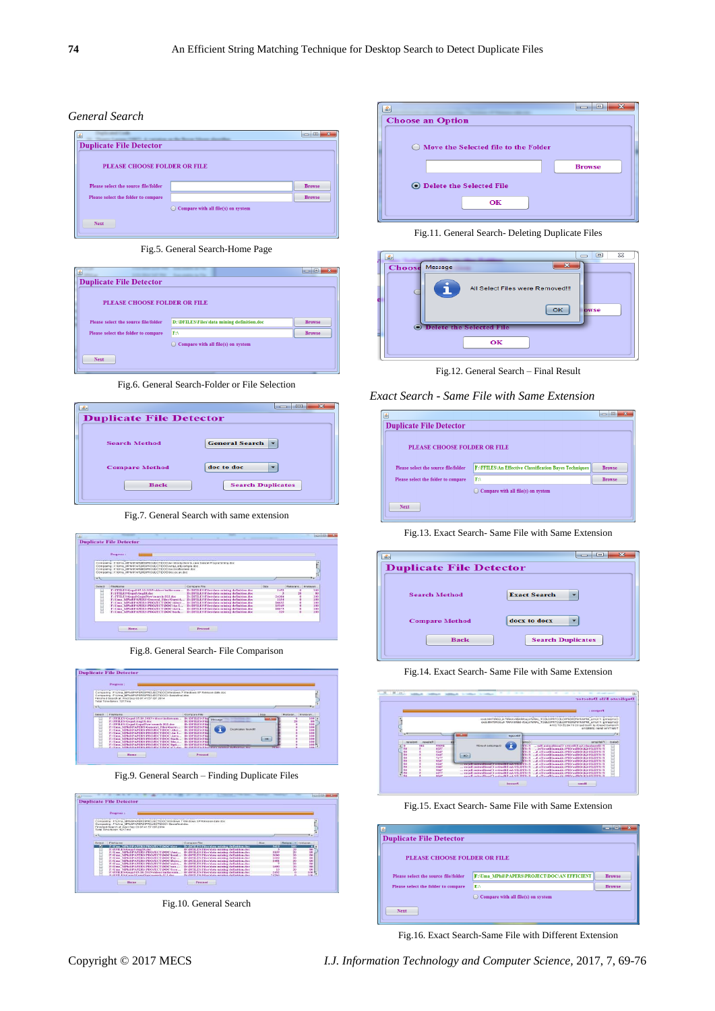# *General Search*

| 画                                    |                                      | e             |
|--------------------------------------|--------------------------------------|---------------|
| <b>Duplicate File Detector</b>       |                                      |               |
| PLEASE CHOOSE FOLDER OR FILE         |                                      |               |
| Please select the source file/folder |                                      | <b>Browse</b> |
| Please select the folder to compare  |                                      | <b>Browse</b> |
|                                      | ◯ Compare with all file(s) on system |               |
| <b>Next</b>                          |                                      |               |

Fig.5. General Search-Home Page

| <b>Light</b><br><b>Duplicate File Detector</b> |                                            | $\mathbf{x}$<br>画<br>$\blacksquare$ |
|------------------------------------------------|--------------------------------------------|-------------------------------------|
| PLEASE CHOOSE FOLDER OR FILE                   |                                            |                                     |
| Please select the source file/folder           | D:\DFILES\Files\data mining definition.doc | <b>Browse</b>                       |
|                                                | F:                                         | <b>Browse</b>                       |
| Please select the folder to compare            |                                            |                                     |
|                                                | Compare with all file(s) on system         |                                     |

Fig.6. General Search-Folder or File Selection

|                                | 23<br>▣                  |
|--------------------------------|--------------------------|
| <b>Duplicate File Detector</b> |                          |
|                                |                          |
| <b>Search Method</b>           | <b>General Search</b>    |
| <b>Compare Method</b>          | doc to doc               |
| <b>Back</b>                    | <b>Search Duplicates</b> |
|                                |                          |

Fig.7. General Search with same extension



Fig.8. General Search- File Comparison



Fig.9. General Search – Finding Duplicate Files



Fig.10. General Search

| 53<br>$\equiv$                       |
|--------------------------------------|
| <b>Choose an Option</b>              |
| Move the Selected file to the Folder |
| <b>Browse</b>                        |
| ◯ Delete the Selected File<br>OK     |

Fig.11. General Search- Deleting Duplicate Files

| 鱼 |        | $\Sigma$<br>$\Box$                                  |  |
|---|--------|-----------------------------------------------------|--|
|   | Choose | 23<br>Message                                       |  |
|   |        | All Select Files were Removed!!!<br>n<br>OK<br>owse |  |
|   |        | • Delete the Selected File                          |  |
|   |        | OK                                                  |  |

Fig.12. General Search – Final Result

# *Exact Search - Same File with Same Extension*

| ß,                                   |                                                        | $\overline{\mathbf{x}}$<br>$\boxed{0}$<br>m |  |  |  |
|--------------------------------------|--------------------------------------------------------|---------------------------------------------|--|--|--|
| <b>Duplicate File Detector</b>       |                                                        |                                             |  |  |  |
| PLEASE CHOOSE FOLDER OR FILE         |                                                        |                                             |  |  |  |
| Please select the source file/folder | F:\FFILES\An Effective Classification Bayes Techniques | <b>Browse</b>                               |  |  |  |
| Please select the folder to compare  | F:                                                     | <b>Browse</b>                               |  |  |  |
|                                      | $\bigcirc$ Compare with all file(s) on system          |                                             |  |  |  |
| <b>Next</b>                          |                                                        |                                             |  |  |  |

Fig.13. Exact Search- Same File with Same Extension



Fig.14. Exact Search- Same File with Same Extension

|                  | <b>Duplicate File Detector</b>                                                                                                         |                                            |                                                             |                      |         |           |     |
|------------------|----------------------------------------------------------------------------------------------------------------------------------------|--------------------------------------------|-------------------------------------------------------------|----------------------|---------|-----------|-----|
|                  |                                                                                                                                        |                                            |                                                             |                      |         |           |     |
|                  | <b>Tregress</b> :                                                                                                                      |                                            |                                                             |                      |         |           |     |
|                  | Comparing: F.N.ms MPhil/PAPERS/PROJECT/PROJECT_JARProjectRABIN KARP ALGORITHM.dock                                                     |                                            |                                                             |                      |         |           |     |
|                  | Comparino : F/Lima MPhsPAPERS/PROJECT/PROJECT_JAR/Projecti-\$BIN KARP ALGORITHM dock                                                   |                                            |                                                             |                      |         |           |     |
|                  | Finished Search at Wed Sep 03 07:48:25 IST 2014.<br>Total Time taken: 26882ms                                                          |                                            |                                                             |                      |         |           |     |
|                  |                                                                                                                                        |                                            |                                                             |                      |         |           |     |
| フェ               |                                                                                                                                        | possesM                                    | -32-4                                                       |                      |         | ٠         |     |
|                  |                                                                                                                                        |                                            |                                                             |                      |         |           |     |
| traja@           | amplifoli <sup>3</sup>                                                                                                                 | Come                                       |                                                             |                      | Relayan | nevelent  |     |
|                  | F:\Downloads\An Effective Classification Bav                                                                                           | <b>REAGER</b>                              | <b>Honyot categlayO</b>                                     | 67001                | (MH)    |           | 400 |
| <b>COOLECTED</b> | FAFFILES/GK/Office/OPS/Akama/Docs/Fro                                                                                                  |                                            |                                                             | asar                 |         | 30        |     |
|                  | F:VFILES/GK/Office/OPS/Akamaf/Docs/To A                                                                                                |                                            |                                                             | <b>FLAT</b>          |         | <b>Bo</b> |     |
|                  | FAPPILES\GK\Office\OPS\Akamaf\Decs\To A<br><b>CATTLES GEOMetOPS AlgmanDacyTa A.</b>                                                    |                                            | H <sub>O</sub>                                              | <b>CLAT</b>          |         | 89        |     |
|                  | FAFTILES GEOMIC OPSALumarData L.                                                                                                       | विस्तान                                    |                                                             | TATT<br>oran         |         | 20<br>20  |     |
|                  |                                                                                                                                        |                                            |                                                             | 9107                 |         |           |     |
|                  | F:VFTLES/GK/Office/OPS/Algamat/Docs/Io A<br>FAFFILES/GEOffice/OPS/Akama/Docs/Io A.,, FAFFILES/An Effective Classification Bayes        |                                            | <b>Call of the Associated Property of the United States</b> | EGAT                 |         | 80<br>20  |     |
|                  |                                                                                                                                        |                                            |                                                             |                      |         |           |     |
|                  | F:VFILES/GK/Office/OPS/Akamaf/Docs/To A                                                                                                |                                            | F:VFFILES\An Effective Classification Bayes                 | 2007                 |         | 20        |     |
|                  | FAFFILES/GEOGRAPS/ARRENAbox/To A., FAFFILES/An Effective Classification Bayes<br>A. oT /spot themself. (2000) (approximately at the A. |                                            |                                                             | 1,077<br><b>REAL</b> |         |           | 計数  |
|                  |                                                                                                                                        | E-LETT FRAD Fflagtiva Classification Bayan |                                                             |                      |         |           |     |
|                  |                                                                                                                                        |                                            |                                                             |                      |         |           |     |

Fig.15. Exact Search- Same File with Same Extension

| s.                                   |                                              |               |  |  |  |  |  |
|--------------------------------------|----------------------------------------------|---------------|--|--|--|--|--|
| <b>Duplicate File Detector</b>       |                                              |               |  |  |  |  |  |
| PLEASE CHOOSE FOLDER OR FILE         |                                              |               |  |  |  |  |  |
| Please select the source file/folder | F:\Uma MPhil\PAPERS\PROJECT\DOC\AN EFFICIENT | <b>Browse</b> |  |  |  |  |  |
| Please select the folder to compare  | E:\                                          | <b>Browse</b> |  |  |  |  |  |
|                                      | Compare with all file(s) on system           |               |  |  |  |  |  |
| <b>Next</b>                          |                                              |               |  |  |  |  |  |

Fig.16. Exact Search-Same File with Different Extension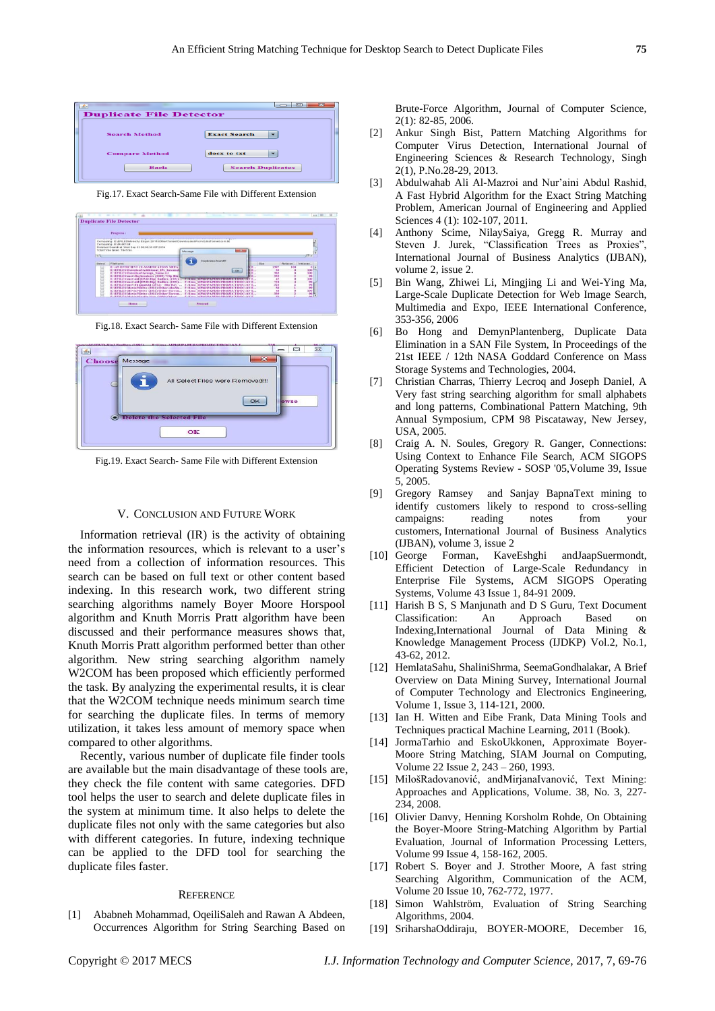

Fig.17. Exact Search-Same File with Different Extension



Fig.18. Exact Search- Same File with Different Extension



Fig.19. Exact Search- Same File with Different Extension

#### V. CONCLUSION AND FUTURE WORK

Information retrieval (IR) is the activity of obtaining the information resources, which is relevant to a user"s need from a collection of information resources. This search can be based on full text or other content based indexing. In this research work, two different string searching algorithms namely Boyer Moore Horspool algorithm and Knuth Morris Pratt algorithm have been discussed and their performance measures shows that, Knuth Morris Pratt algorithm performed better than other algorithm. New string searching algorithm namely W2COM has been proposed which efficiently performed the task. By analyzing the experimental results, it is clear that the W2COM technique needs minimum search time for searching the duplicate files. In terms of memory utilization, it takes less amount of memory space when compared to other algorithms.

Recently, various number of duplicate file finder tools are available but the main disadvantage of these tools are, they check the file content with same categories. DFD tool helps the user to search and delete duplicate files in the system at minimum time. It also helps to delete the duplicate files not only with the same categories but also with different categories. In future, indexing technique can be applied to the DFD tool for searching the duplicate files faster.

#### **REFERENCE**

[1] Ababneh Mohammad, OqeiliSaleh and Rawan A Abdeen, Occurrences Algorithm for String Searching Based on Brute-Force Algorithm, Journal of Computer Science, 2(1): 82-85, 2006.

- [2] Ankur Singh Bist, Pattern Matching Algorithms for Computer Virus Detection, International Journal of Engineering Sciences & Research Technology, Singh 2(1), P.No.28-29, 2013.
- [3] Abdulwahab Ali Al-Mazroi and Nur'aini Abdul Rashid, A Fast Hybrid Algorithm for the Exact String Matching Problem, American Journal of Engineering and Applied Sciences 4 (1): 102-107, 2011.
- [4] Anthony Scime, NilaySaiya, Gregg R. Murray and Steven J. Jurek, "Classification Trees as Proxies", [International Journal of Business Analytics \(IJBAN\),](http://www.igi-global.com/journal/international-journal-business-analytics-ijban/67141)  volume 2, issue 2.
- [5] Bin Wang, Zhiwei Li, Mingjing Li and Wei-Ying Ma, Large-Scale Duplicate Detection for Web Image Search, Multimedia and Expo, IEEE International Conference, 353-356, 2006
- [6] Bo Hong and DemynPlantenberg, Duplicate Data Elimination in a SAN File System, In Proceedings of the 21st IEEE / 12th NASA Goddard Conference on Mass Storage Systems and Technologies, 2004.
- [7] Christian Charras, Thierry Lecroq and Joseph Daniel, A Very fast string searching algorithm for small alphabets and long patterns, Combinational Pattern Matching, 9th Annual Symposium, CPM 98 Piscataway, New Jersey, USA, 2005.
- [8] Craig A. N. Soules, Gregory R. Ganger, Connections: Using Context to Enhance File Search, ACM SIGOPS Operating Systems Review - SOSP '05,Volume 39, Issue 5, 2005.
- [9] Gregory Ramsey and Sanjay BapnaText mining to identify customers likely to respond to cross-selling campaigns: reading notes from your customers, [International Journal of Business Analytics](http://www.igi-global.com/journal/international-journal-business-analytics-ijban/67141)  [\(IJBAN\),](http://www.igi-global.com/journal/international-journal-business-analytics-ijban/67141) volume 3, issue 2
- [10] George Forman, KaveEshghi andJaapSuermondt, Efficient Detection of Large-Scale Redundancy in Enterprise File Systems, ACM SIGOPS Operating Systems, Volume 43 Issue 1, 84-91 2009.
- [11] Harish B S, S Manjunath and D S Guru, Text Document Classification: An Approach Based on Indexing,International Journal of Data Mining & Knowledge Management Process (IJDKP) Vol.2, No.1, 43-62, 2012.
- [12] HemlataSahu, ShaliniShrma, SeemaGondhalakar, A Brief Overview on Data Mining Survey, International Journal of Computer Technology and Electronics Engineering, Volume 1, Issue 3, 114-121, 2000.
- [13] Ian H. Witten and Eibe Frank, Data Mining Tools and Techniques practical Machine Learning, 2011 (Book).
- [14] JormaTarhio and EskoUkkonen, Approximate Boyer-Moore String Matching, SIAM Journal on Computing, Volume 22 Issue 2, 243 – 260, 1993.
- [15] MilošRadovanović, andMirjanaIvanović, Text Mining: Approaches and Applications, Volume. 38, No. 3, 227- 234, 2008.
- [16] Olivier Danvy, Henning Korsholm Rohde, On Obtaining the Boyer-Moore String-Matching Algorithm by Partial Evaluation, Journal of Information Processing Letters, Volume 99 Issue 4, 158-162, 2005.
- [17] Robert S. Boyer and J. Strother Moore, A fast string Searching Algorithm, Communication of the ACM, Volume 20 Issue 10, 762-772, 1977.
- [18] Simon Wahlström, Evaluation of String Searching Algorithms, 2004.
- [19] SriharshaOddiraju, BOYER-MOORE, December 16,